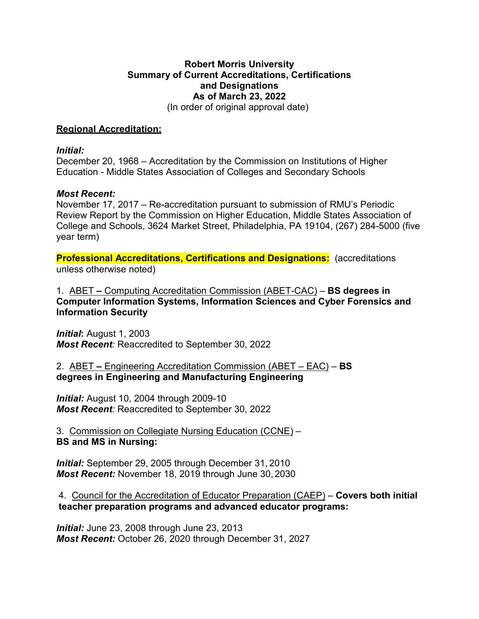## **Robert Morris University Summary of Current Accreditations, Certifications and Designations As of March 23, 2022**  (In order of original approval date)

### **Regional Accreditation:**

#### *Initial:*

December 20, 1968 – Accreditation by the Commission on Institutions of Higher Education - Middle States Association of Colleges and Secondary Schools

### *Most Recent:*

November 17, 2017 – Re-accreditation pursuant to submission of RMU's Periodic Review Report by the Commission on Higher Education, Middle States Association of College and Schools, 3624 Market Street, Philadelphia, PA 19104, (267) 284-5000 (five year term)

**Professional Accreditations, Certifications and Designations:** (accreditations unless otherwise noted)

1. ABET **–** Computing Accreditation Commission (ABET-CAC) – **BS degrees in Computer Information Systems, Information Sciences and Cyber Forensics and Information Security**

*Initial***:** August 1, 2003 *Most Recent:* Reaccredited to September 30, 2022

## 2. ABET **–** Engineering Accreditation Commission (ABET – EAC) – **BS degrees in Engineering and Manufacturing Engineering**

*Initial:* August 10, 2004 through 2009-10 *Most Recent:* Reaccredited to September 30, 2022

3. Commission on Collegiate Nursing Education (CCNE) – **BS and MS in Nursing:**

*Initial:* September 29, 2005 through December 31, 2010 *Most Recent:* November 18, 2019 through June 30, 2030

4. Council for the Accreditation of Educator Preparation (CAEP) – **Covers both initial teacher preparation programs and advanced educator programs:**

*Initial:* June 23, 2008 through June 23, 2013 *Most Recent:* October 26, 2020 through December 31, 2027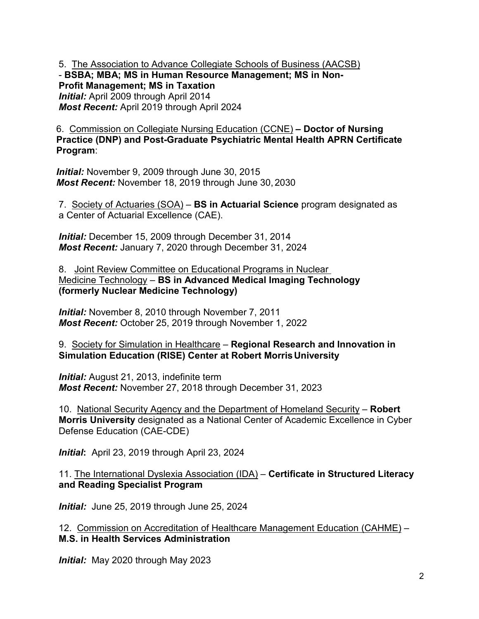5. The Association to Advance Collegiate Schools of Business (AACSB) - **BSBA; MBA; MS in Human Resource Management; MS in Non-Profit Management; MS in Taxation** *Initial:* April 2009 through April 2014 *Most Recent:* April 2019 through April 2024

6. Commission on Collegiate Nursing Education (CCNE) **– Doctor of Nursing Practice (DNP) and Post-Graduate Psychiatric Mental Health APRN Certificate Program**:

*Initial:* November 9, 2009 through June 30, 2015 *Most Recent:* November 18, 2019 through June 30, 2030

7. Society of Actuaries (SOA) – **BS in Actuarial Science** program designated as a Center of Actuarial Excellence (CAE).

*Initial:* December 15, 2009 through December 31, 2014 *Most Recent:* January 7, 2020 through December 31, 2024

8. Joint Review Committee on Educational Programs in Nuclear Medicine Technology – **BS in Advanced Medical Imaging Technology (formerly Nuclear Medicine Technology)** 

*Initial:* November 8, 2010 through November 7, 2011 *Most Recent:* October 25, 2019 through November 1, 2022

9. Society for Simulation in Healthcare – **Regional Research and Innovation in Simulation Education (RISE) Center at Robert MorrisUniversity**

*Initial:* August 21, 2013, indefinite term *Most Recent:* November 27, 2018 through December 31, 2023

10. National Security Agency and the Department of Homeland Security – **Robert Morris University** designated as a National Center of Academic Excellence in Cyber Defense Education (CAE-CDE)

*Initial***:** April 23, 2019 through April 23, 2024

11. The International Dyslexia Association (IDA) – **Certificate in Structured Literacy and Reading Specialist Program**

*Initial:* June 25, 2019 through June 25, 2024

12. Commission on Accreditation of Healthcare Management Education (CAHME) – **M.S. in Health Services Administration**

*Initial:* May 2020 through May 2023